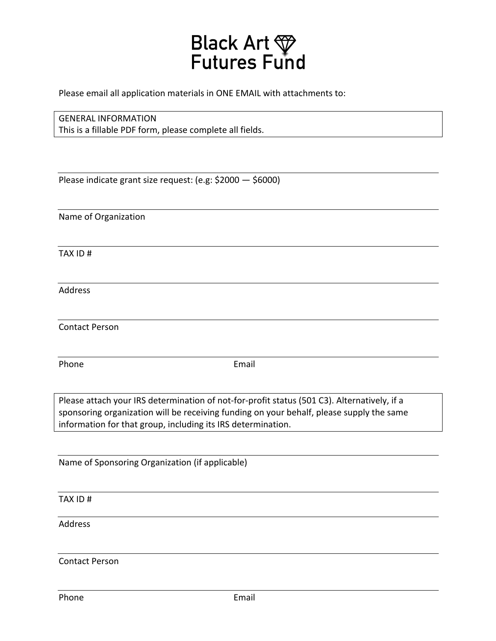

Please email all application materials in ONE EMAIL with attachments to:

# **GENERAL INFORMATION**

This is a fillable PDF form, please complete all fields.

Please indicate grant size request: (e.g:  $$2000 - $6000$ )

Name of Organization

TAX ID #

Address

Contact Person

Phone **Email** 

Please attach your IRS determination of not-for-profit status (501 C3). Alternatively, if a sponsoring organization will be receiving funding on your behalf, please supply the same information for that group, including its IRS determination.

Name of Sponsoring Organization (if applicable)

TAX ID #

Address

Contact Person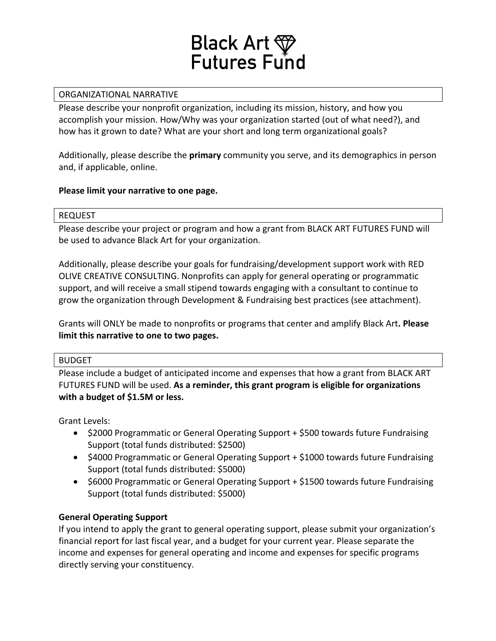

# ORGANIZATIONAL NARRATIVE

Please describe your nonprofit organization, including its mission, history, and how you accomplish your mission. How/Why was your organization started (out of what need?), and how has it grown to date? What are your short and long term organizational goals?

Additionally, please describe the **primary** community you serve, and its demographics in person and, if applicable, online.

# Please limit your narrative to one page.

#### REQUEST

Please describe your project or program and how a grant from BLACK ART FUTURES FUND will be used to advance Black Art for your organization.

Additionally, please describe your goals for fundraising/development support work with RED OLIVE CREATIVE CONSULTING. Nonprofits can apply for general operating or programmatic support, and will receive a small stipend towards engaging with a consultant to continue to grow the organization through Development & Fundraising best practices (see attachment).

Grants will ONLY be made to nonprofits or programs that center and amplify Black Art. Please **limit this narrative to one to two pages.** 

# BUDGET

Please include a budget of anticipated income and expenses that how a grant from BLACK ART FUTURES FUND will be used. As a reminder, this grant program is eligible for organizations **with a budget of \$1.5M or less.** 

Grant Levels:

- \$2000 Programmatic or General Operating Support + \$500 towards future Fundraising Support (total funds distributed: \$2500)
- \$4000 Programmatic or General Operating Support + \$1000 towards future Fundraising Support (total funds distributed: \$5000)
- \$6000 Programmatic or General Operating Support + \$1500 towards future Fundraising Support (total funds distributed: \$5000)

# **General Operating Support**

If you intend to apply the grant to general operating support, please submit your organization's financial report for last fiscal year, and a budget for your current year. Please separate the income and expenses for general operating and income and expenses for specific programs directly serving your constituency.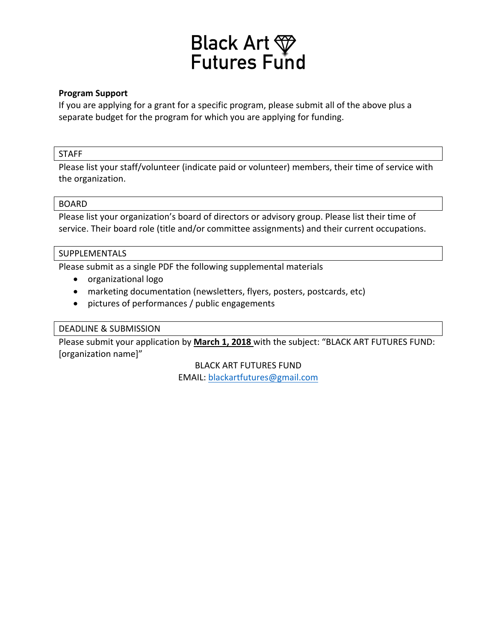

#### **Program Support**

If you are applying for a grant for a specific program, please submit all of the above plus a separate budget for the program for which you are applying for funding.

#### STAFF

Please list your staff/volunteer (indicate paid or volunteer) members, their time of service with the organization.

#### BOARD

Please list your organization's board of directors or advisory group. Please list their time of service. Their board role (title and/or committee assignments) and their current occupations.

# **SUPPLEMENTALS**

Please submit as a single PDF the following supplemental materials

- organizational logo
- marketing documentation (newsletters, flyers, posters, postcards, etc)
- pictures of performances / public engagements

# DEADLINE & SUBMISSION

Please submit your application by March 1, 2018 with the subject: "BLACK ART FUTURES FUND: [organization name]"

> **BLACK ART FUTURES FUND** EMAIL: blackartfutures@gmail.com